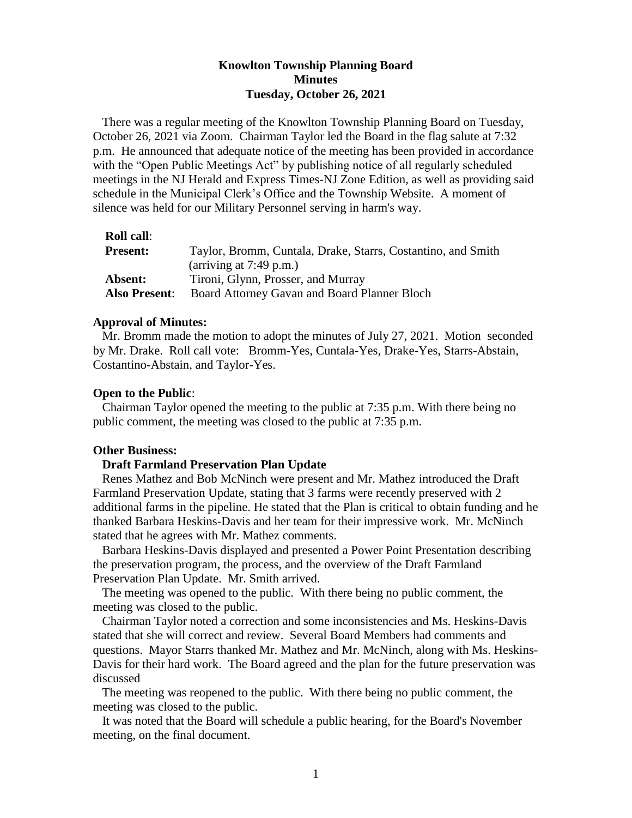## **Knowlton Township Planning Board Minutes Tuesday, October 26, 2021**

There was a regular meeting of the Knowlton Township Planning Board on Tuesday, October 26, 2021 via Zoom. Chairman Taylor led the Board in the flag salute at 7:32 p.m. He announced that adequate notice of the meeting has been provided in accordance with the "Open Public Meetings Act" by publishing notice of all regularly scheduled meetings in the NJ Herald and Express Times-NJ Zone Edition, as well as providing said schedule in the Municipal Clerk's Office and the Township Website. A moment of silence was held for our Military Personnel serving in harm's way.

| <b>Present:</b> | Taylor, Bromm, Cuntala, Drake, Starrs, Costantino, and Smith |
|-----------------|--------------------------------------------------------------|
|                 | (arriving at $7:49$ p.m.)                                    |
| Absent:         | Tironi, Glynn, Prosser, and Murray                           |
| Also Present:   | Board Attorney Gavan and Board Planner Bloch                 |

### **Approval of Minutes:**

 Mr. Bromm made the motion to adopt the minutes of July 27, 2021. Motion seconded by Mr. Drake. Roll call vote: Bromm-Yes, Cuntala-Yes, Drake-Yes, Starrs-Abstain, Costantino-Abstain, and Taylor-Yes.

### **Open to the Public**:

 Chairman Taylor opened the meeting to the public at 7:35 p.m. With there being no public comment, the meeting was closed to the public at 7:35 p.m.

## **Other Business:**

## **Draft Farmland Preservation Plan Update**

Renes Mathez and Bob McNinch were present and Mr. Mathez introduced the Draft Farmland Preservation Update, stating that 3 farms were recently preserved with 2 additional farms in the pipeline. He stated that the Plan is critical to obtain funding and he thanked Barbara Heskins-Davis and her team for their impressive work. Mr. McNinch stated that he agrees with Mr. Mathez comments.

 Barbara Heskins-Davis displayed and presented a Power Point Presentation describing the preservation program, the process, and the overview of the Draft Farmland Preservation Plan Update. Mr. Smith arrived.

 The meeting was opened to the public. With there being no public comment, the meeting was closed to the public.

 Chairman Taylor noted a correction and some inconsistencies and Ms. Heskins-Davis stated that she will correct and review. Several Board Members had comments and questions. Mayor Starrs thanked Mr. Mathez and Mr. McNinch, along with Ms. Heskins-Davis for their hard work. The Board agreed and the plan for the future preservation was discussed

 The meeting was reopened to the public. With there being no public comment, the meeting was closed to the public.

 It was noted that the Board will schedule a public hearing, for the Board's November meeting, on the final document.